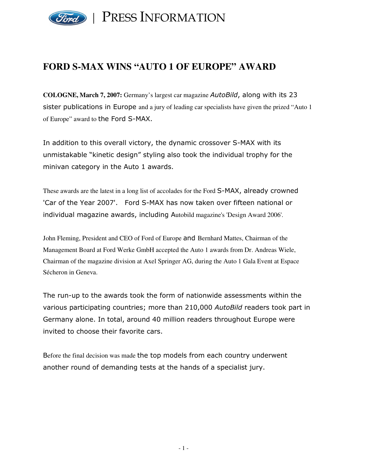

## **FORD S-MAX WINS "AUTO 1 OF EUROPE" AWARD**

COLOGNE, March 7, 2007: Germany's largest car magazine AutoBild, along with its 23 sister publications in Europe and a jury of leading car specialists have given the prized "Auto 1" of Europe" award to the Ford S-MAX.

In addition to this overall victory, the dynamic crossover S-MAX with its unmistakable "kinetic design" styling also took the individual trophy for the minivan category in the Auto 1 awards.

These awards are the latest in a long list of accolades for the Ford S-MAX, already crowned 'Car of the Year 2007'. Ford S-MAX has now taken over fifteen national or individual magazine awards, including Autobild magazine's 'Design Award 2006'.

John Fleming, President and CEO of Ford of Europe and Bernhard Mattes, Chairman of the Management Board at Ford Werke GmbH accepted the Auto 1 awards from Dr. Andreas Wiele, Chairman of the magazine division at Axel Springer AG, during the Auto 1 Gala Event at Espace Sécheron in Geneva.

The run-up to the awards took the form of nationwide assessments within the various participating countries; more than 210,000 AutoBild readers took part in Germany alone. In total, around 40 million readers throughout Europe were invited to choose their favorite cars.

Before the final decision was made the top models from each country underwent another round of demanding tests at the hands of a specialist jury.